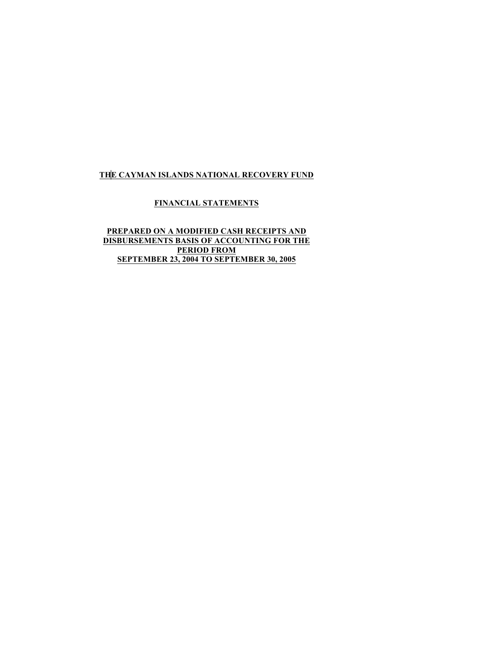# **FINANCIAL STATEMENTS**

# **PREPARED ON A MODIFIED CASH RECEIPTS AND DISBURSEMENTS BASIS OF ACCOUNTING FOR THE PERIOD FROM SEPTEMBER 23, 2004 TO SEPTEMBER 30, 2005**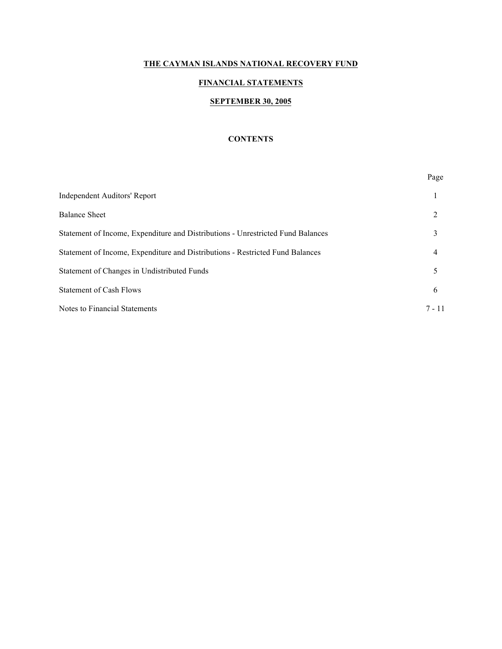# **FINANCIAL STATEMENTS**

#### **SEPTEMBER 30, 2005**

### **CONTENTS**

|                                                                                 | Page           |
|---------------------------------------------------------------------------------|----------------|
| <b>Independent Auditors' Report</b>                                             |                |
| <b>Balance Sheet</b>                                                            | 2              |
| Statement of Income, Expenditure and Distributions - Unrestricted Fund Balances | 3              |
| Statement of Income, Expenditure and Distributions - Restricted Fund Balances   | $\overline{4}$ |
| Statement of Changes in Undistributed Funds                                     | 5              |
| <b>Statement of Cash Flows</b>                                                  | 6              |
| <b>Notes to Financial Statements</b>                                            | $7 - 11$       |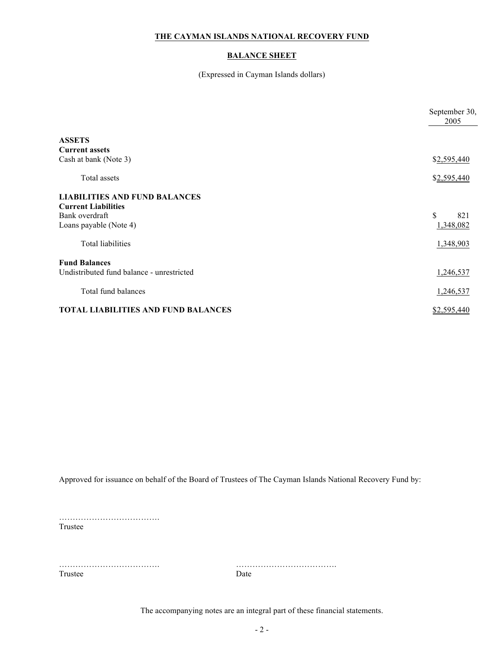# **BALANCE SHEET**

(Expressed in Cayman Islands dollars)

|                                                                                                                                            | September 30,<br>2005                        |
|--------------------------------------------------------------------------------------------------------------------------------------------|----------------------------------------------|
| <b>ASSETS</b><br><b>Current assets</b>                                                                                                     |                                              |
| Cash at bank (Note 3)                                                                                                                      | \$2,595,440                                  |
| Total assets                                                                                                                               | \$2,595,440                                  |
| <b>LIABILITIES AND FUND BALANCES</b><br><b>Current Liabilities</b><br>Bank overdraft<br>Loans payable (Note 4)<br><b>Total liabilities</b> | $\mathbf S$<br>821<br>1,348,082<br>1,348,903 |
| <b>Fund Balances</b><br>Undistributed fund balance - unrestricted                                                                          | 1,246,537                                    |
| Total fund balances                                                                                                                        | 1,246,537                                    |
| <b>TOTAL LIABILITIES AND FUND BALANCES</b>                                                                                                 | \$2,595,440                                  |

Approved for issuance on behalf of the Board of Trustees of The Cayman Islands National Recovery Fund by:

………………………………. Trustee

Trustee Date

………………………………. ……………………………….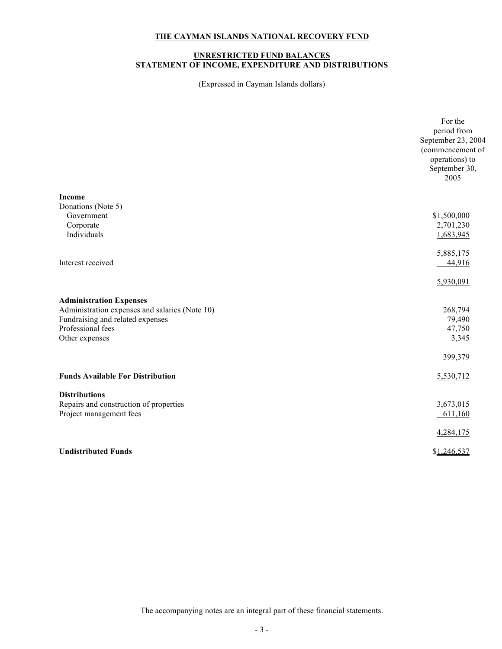#### **UNRESTRICTED FUND BALANCES STATEMENT OF INCOME, EXPENDITURE AND DISTRIBUTIONS**

(Expressed in Cayman Islands dollars)

| September 23, 2004<br>(commencement of<br>operations) to<br>September 30,<br>2005<br><b>Income</b><br>Donations (Note 5)<br>\$1,500,000<br>Government<br>Corporate<br>2,701,230<br>Individuals<br>1,683,945<br>5,885,175<br>Interest received<br>44,916<br>5,930,091<br><b>Administration Expenses</b><br>Administration expenses and salaries (Note 10)<br>268,794<br>Fundraising and related expenses<br>79,490<br>Professional fees<br>47,750<br>3,345<br>Other expenses<br>399,379<br><b>Funds Available For Distribution</b><br>5,530,712<br><b>Distributions</b><br>Repairs and construction of properties<br>3,673,015<br>Project management fees<br>611,160<br>4,284,175<br><b>Undistributed Funds</b><br>\$1,246,537 | For the     |
|-------------------------------------------------------------------------------------------------------------------------------------------------------------------------------------------------------------------------------------------------------------------------------------------------------------------------------------------------------------------------------------------------------------------------------------------------------------------------------------------------------------------------------------------------------------------------------------------------------------------------------------------------------------------------------------------------------------------------------|-------------|
|                                                                                                                                                                                                                                                                                                                                                                                                                                                                                                                                                                                                                                                                                                                               | period from |
|                                                                                                                                                                                                                                                                                                                                                                                                                                                                                                                                                                                                                                                                                                                               |             |
|                                                                                                                                                                                                                                                                                                                                                                                                                                                                                                                                                                                                                                                                                                                               |             |
|                                                                                                                                                                                                                                                                                                                                                                                                                                                                                                                                                                                                                                                                                                                               |             |
|                                                                                                                                                                                                                                                                                                                                                                                                                                                                                                                                                                                                                                                                                                                               |             |
|                                                                                                                                                                                                                                                                                                                                                                                                                                                                                                                                                                                                                                                                                                                               |             |
|                                                                                                                                                                                                                                                                                                                                                                                                                                                                                                                                                                                                                                                                                                                               |             |
|                                                                                                                                                                                                                                                                                                                                                                                                                                                                                                                                                                                                                                                                                                                               |             |
|                                                                                                                                                                                                                                                                                                                                                                                                                                                                                                                                                                                                                                                                                                                               |             |
|                                                                                                                                                                                                                                                                                                                                                                                                                                                                                                                                                                                                                                                                                                                               |             |
|                                                                                                                                                                                                                                                                                                                                                                                                                                                                                                                                                                                                                                                                                                                               |             |
|                                                                                                                                                                                                                                                                                                                                                                                                                                                                                                                                                                                                                                                                                                                               |             |
|                                                                                                                                                                                                                                                                                                                                                                                                                                                                                                                                                                                                                                                                                                                               |             |
|                                                                                                                                                                                                                                                                                                                                                                                                                                                                                                                                                                                                                                                                                                                               |             |
|                                                                                                                                                                                                                                                                                                                                                                                                                                                                                                                                                                                                                                                                                                                               |             |
|                                                                                                                                                                                                                                                                                                                                                                                                                                                                                                                                                                                                                                                                                                                               |             |
|                                                                                                                                                                                                                                                                                                                                                                                                                                                                                                                                                                                                                                                                                                                               |             |
|                                                                                                                                                                                                                                                                                                                                                                                                                                                                                                                                                                                                                                                                                                                               |             |
|                                                                                                                                                                                                                                                                                                                                                                                                                                                                                                                                                                                                                                                                                                                               |             |
|                                                                                                                                                                                                                                                                                                                                                                                                                                                                                                                                                                                                                                                                                                                               |             |
|                                                                                                                                                                                                                                                                                                                                                                                                                                                                                                                                                                                                                                                                                                                               |             |
|                                                                                                                                                                                                                                                                                                                                                                                                                                                                                                                                                                                                                                                                                                                               |             |
|                                                                                                                                                                                                                                                                                                                                                                                                                                                                                                                                                                                                                                                                                                                               |             |
|                                                                                                                                                                                                                                                                                                                                                                                                                                                                                                                                                                                                                                                                                                                               |             |
|                                                                                                                                                                                                                                                                                                                                                                                                                                                                                                                                                                                                                                                                                                                               |             |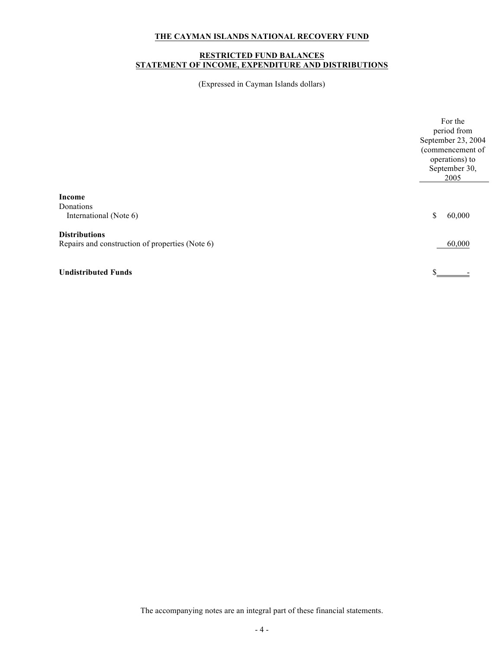#### **RESTRICTED FUND BALANCES STATEMENT OF INCOME, EXPENDITURE AND DISTRIBUTIONS**

(Expressed in Cayman Islands dollars)

|                                                                         | For the<br>period from<br>September 23, 2004<br>(commencement of<br>operations) to<br>September 30,<br>2005 |
|-------------------------------------------------------------------------|-------------------------------------------------------------------------------------------------------------|
| Income<br>Donations<br>International (Note 6)                           | 60,000<br>\$                                                                                                |
| <b>Distributions</b><br>Repairs and construction of properties (Note 6) | 60,000                                                                                                      |
| <b>Undistributed Funds</b>                                              | \$                                                                                                          |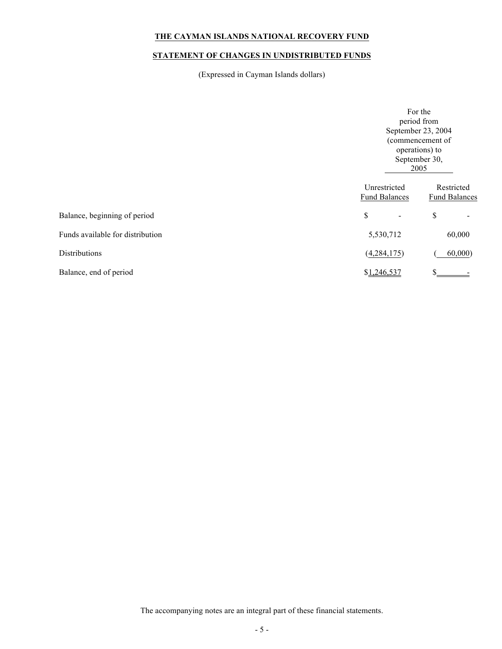# **STATEMENT OF CHANGES IN UNDISTRIBUTED FUNDS**

(Expressed in Cayman Islands dollars)

|                                  |                                      | For the<br>period from<br>September 23, 2004<br>(commencement of<br>operations) to<br>September 30,<br>2005 |  |
|----------------------------------|--------------------------------------|-------------------------------------------------------------------------------------------------------------|--|
|                                  | Unrestricted<br><b>Fund Balances</b> | Restricted<br><b>Fund Balances</b>                                                                          |  |
| Balance, beginning of period     | \$                                   | \$                                                                                                          |  |
| Funds available for distribution | 5,530,712                            | 60,000                                                                                                      |  |
| Distributions                    | (4, 284, 175)                        | 60,000                                                                                                      |  |
| Balance, end of period           | \$1,246,537                          |                                                                                                             |  |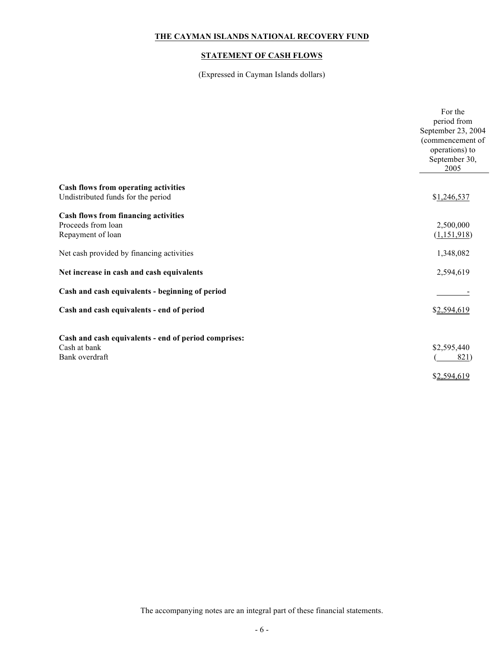# **STATEMENT OF CASH FLOWS**

(Expressed in Cayman Islands dollars)

|                                                                            | For the<br>period from<br>September 23, 2004<br>(commencement of<br>operations) to |
|----------------------------------------------------------------------------|------------------------------------------------------------------------------------|
|                                                                            | September 30,<br>2005                                                              |
| Cash flows from operating activities<br>Undistributed funds for the period | \$1,246,537                                                                        |
| Cash flows from financing activities                                       |                                                                                    |
| Proceeds from loan                                                         | 2,500,000                                                                          |
| Repayment of loan                                                          | (1,151,918)                                                                        |
| Net cash provided by financing activities                                  | 1,348,082                                                                          |
| Net increase in cash and cash equivalents                                  | 2,594,619                                                                          |
| Cash and cash equivalents - beginning of period                            |                                                                                    |
| Cash and cash equivalents - end of period                                  | \$2,594,619                                                                        |
|                                                                            |                                                                                    |
| Cash and cash equivalents - end of period comprises:                       |                                                                                    |
| Cash at bank<br>Bank overdraft                                             | \$2,595,440<br>821)                                                                |
|                                                                            |                                                                                    |
|                                                                            | \$2,594,619                                                                        |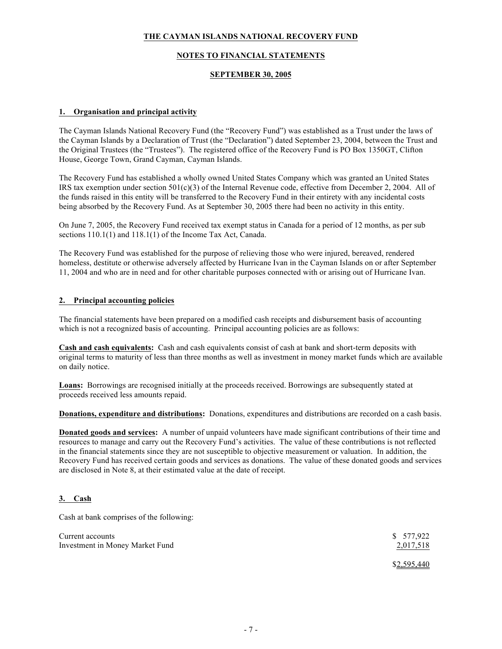### **NOTES TO FINANCIAL STATEMENTS**

### **SEPTEMBER 30, 2005**

### **1. Organisation and principal activity**

The Cayman Islands National Recovery Fund (the "Recovery Fund") was established as a Trust under the laws of the Cayman Islands by a Declaration of Trust (the "Declaration") dated September 23, 2004, between the Trust and the Original Trustees (the "Trustees"). The registered office of the Recovery Fund is PO Box 1350GT, Clifton House, George Town, Grand Cayman, Cayman Islands.

The Recovery Fund has established a wholly owned United States Company which was granted an United States IRS tax exemption under section 501(c)(3) of the Internal Revenue code, effective from December 2, 2004. All of the funds raised in this entity will be transferred to the Recovery Fund in their entirety with any incidental costs being absorbed by the Recovery Fund. As at September 30, 2005 there had been no activity in this entity.

On June 7, 2005, the Recovery Fund received tax exempt status in Canada for a period of 12 months, as per sub sections  $110.1(1)$  and  $118.1(1)$  of the Income Tax Act, Canada.

The Recovery Fund was established for the purpose of relieving those who were injured, bereaved, rendered homeless, destitute or otherwise adversely affected by Hurricane Ivan in the Cayman Islands on or after September 11, 2004 and who are in need and for other charitable purposes connected with or arising out of Hurricane Ivan.

### **2. Principal accounting policies**

The financial statements have been prepared on a modified cash receipts and disbursement basis of accounting which is not a recognized basis of accounting. Principal accounting policies are as follows:

**Cash and cash equivalents:** Cash and cash equivalents consist of cash at bank and short-term deposits with original terms to maturity of less than three months as well as investment in money market funds which are available on daily notice.

**Loans:** Borrowings are recognised initially at the proceeds received. Borrowings are subsequently stated at proceeds received less amounts repaid.

**Donations, expenditure and distributions:** Donations, expenditures and distributions are recorded on a cash basis.

**Donated goods and services:** A number of unpaid volunteers have made significant contributions of their time and resources to manage and carry out the Recovery Fund's activities. The value of these contributions is not reflected in the financial statements since they are not susceptible to objective measurement or valuation. In addition, the Recovery Fund has received certain goods and services as donations. The value of these donated goods and services are disclosed in Note 8, at their estimated value at the date of receipt.

### **3. Cash**

Cash at bank comprises of the following:

| Current accounts                | \$ 577,922  |
|---------------------------------|-------------|
| Investment in Money Market Fund | 2,017,518   |
|                                 | \$2,595,440 |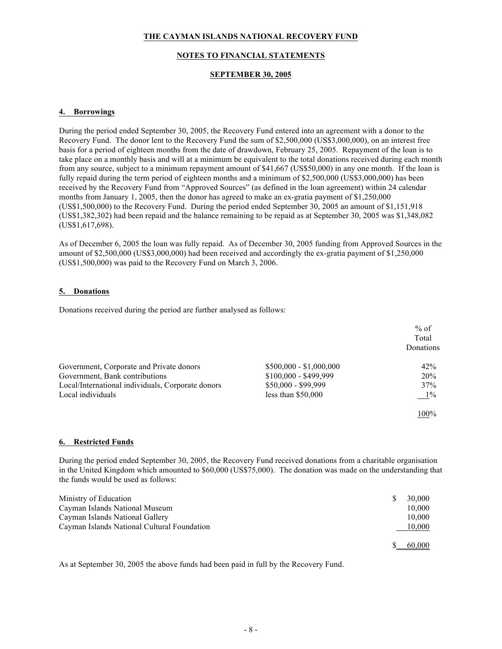### **NOTES TO FINANCIAL STATEMENTS**

### **SEPTEMBER 30, 2005**

### **4. Borrowings**

During the period ended September 30, 2005, the Recovery Fund entered into an agreement with a donor to the Recovery Fund. The donor lent to the Recovery Fund the sum of \$2,500,000 (US\$3,000,000), on an interest free basis for a period of eighteen months from the date of drawdown, February 25, 2005. Repayment of the loan is to take place on a monthly basis and will at a minimum be equivalent to the total donations received during each month from any source, subject to a minimum repayment amount of \$41,667 (US\$50,000) in any one month. If the loan is fully repaid during the term period of eighteen months and a minimum of \$2,500,000 (US\$3,000,000) has been received by the Recovery Fund from "Approved Sources" (as defined in the loan agreement) within 24 calendar months from January 1, 2005, then the donor has agreed to make an ex-gratia payment of \$1,250,000 (US\$1,500,000) to the Recovery Fund. During the period ended September 30, 2005 an amount of \$1,151,918 (US\$1,382,302) had been repaid and the balance remaining to be repaid as at September 30, 2005 was \$1,348,082 (US\$1,617,698).

As of December 6, 2005 the loan was fully repaid. As of December 30, 2005 funding from Approved Sources in the amount of \$2,500,000 (US\$3,000,000) had been received and accordingly the ex-gratia payment of \$1,250,000 (US\$1,500,000) was paid to the Recovery Fund on March 3, 2006.

### **5. Donations**

Donations received during the period are further analysed as follows:

|                                                   |                         | $%$ of<br>Total |
|---------------------------------------------------|-------------------------|-----------------|
|                                                   |                         | Donations       |
| Government, Corporate and Private donors          | $$500,000 - $1,000,000$ | 42%             |
| Government, Bank contributions                    | $$100,000 - $499,999$   | 20%             |
| Local/International individuals, Corporate donors | \$50,000 - \$99,999     | 37%             |
| Local individuals                                 | less than $$50,000$     | $1\%$           |
|                                                   |                         | 100%            |

# **6. Restricted Funds**

During the period ended September 30, 2005, the Recovery Fund received donations from a charitable organisation in the United Kingdom which amounted to \$60,000 (US\$75,000). The donation was made on the understanding that the funds would be used as follows:

| Ministry of Education                       | 30,000 |
|---------------------------------------------|--------|
| Cayman Islands National Museum              | 10.000 |
| Cayman Islands National Gallery             | 10.000 |
| Cayman Islands National Cultural Foundation | 10,000 |
|                                             | 60,000 |

As at September 30, 2005 the above funds had been paid in full by the Recovery Fund.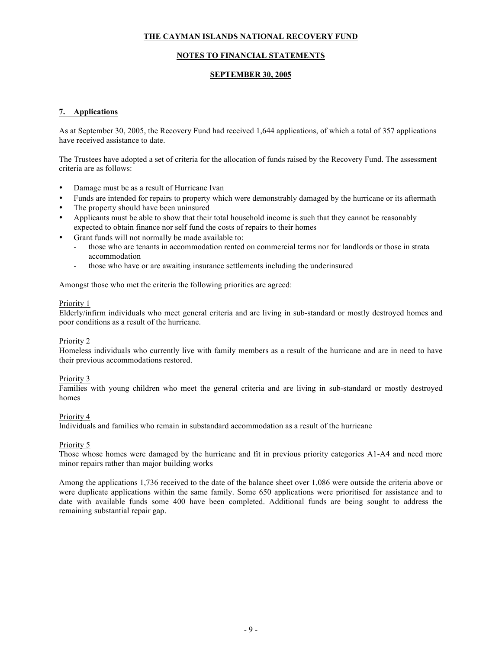### **NOTES TO FINANCIAL STATEMENTS**

#### **SEPTEMBER 30, 2005**

### **7. Applications**

As at September 30, 2005, the Recovery Fund had received 1,644 applications, of which a total of 357 applications have received assistance to date.

The Trustees have adopted a set of criteria for the allocation of funds raised by the Recovery Fund. The assessment criteria are as follows:

- Damage must be as a result of Hurricane Ivan
- Funds are intended for repairs to property which were demonstrably damaged by the hurricane or its aftermath
- The property should have been uninsured
- Applicants must be able to show that their total household income is such that they cannot be reasonably expected to obtain finance nor self fund the costs of repairs to their homes
- Grant funds will not normally be made available to:
	- those who are tenants in accommodation rented on commercial terms nor for landlords or those in strata accommodation
	- those who have or are awaiting insurance settlements including the underinsured

Amongst those who met the criteria the following priorities are agreed:

#### Priority 1

Elderly/infirm individuals who meet general criteria and are living in sub-standard or mostly destroyed homes and poor conditions as a result of the hurricane.

### Priority 2

Homeless individuals who currently live with family members as a result of the hurricane and are in need to have their previous accommodations restored.

### Priority 3

Families with young children who meet the general criteria and are living in sub-standard or mostly destroyed homes

#### Priority 4

Individuals and families who remain in substandard accommodation as a result of the hurricane

### Priority 5

Those whose homes were damaged by the hurricane and fit in previous priority categories A1-A4 and need more minor repairs rather than major building works

Among the applications 1,736 received to the date of the balance sheet over 1,086 were outside the criteria above or were duplicate applications within the same family. Some 650 applications were prioritised for assistance and to date with available funds some 400 have been completed. Additional funds are being sought to address the remaining substantial repair gap.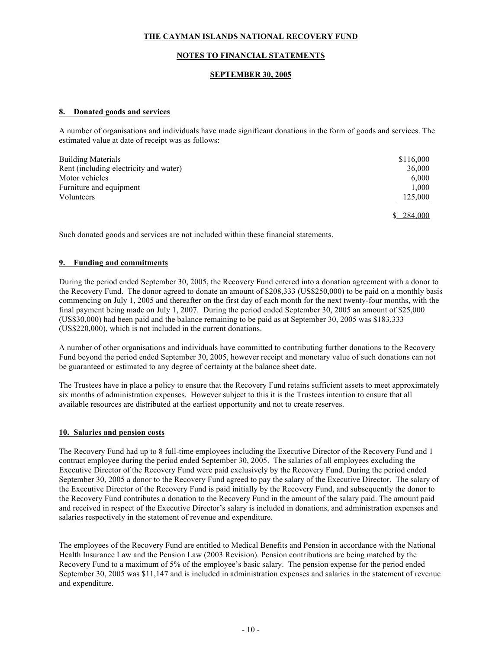### **NOTES TO FINANCIAL STATEMENTS**

### **SEPTEMBER 30, 2005**

#### **8. Donated goods and services**

A number of organisations and individuals have made significant donations in the form of goods and services. The estimated value at date of receipt was as follows:

| <b>Building Materials</b>              | \$116,000 |
|----------------------------------------|-----------|
| Rent (including electricity and water) | 36,000    |
| Motor vehicles                         | 6.000     |
| Furniture and equipment                | 1.000     |
| Volunteers                             | 125,000   |
|                                        | 284,000   |

Such donated goods and services are not included within these financial statements.

#### **9. Funding and commitments**

During the period ended September 30, 2005, the Recovery Fund entered into a donation agreement with a donor to the Recovery Fund. The donor agreed to donate an amount of \$208,333 (US\$250,000) to be paid on a monthly basis commencing on July 1, 2005 and thereafter on the first day of each month for the next twenty-four months, with the final payment being made on July 1, 2007. During the period ended September 30, 2005 an amount of \$25,000 (US\$30,000) had been paid and the balance remaining to be paid as at September 30, 2005 was \$183,333 (US\$220,000), which is not included in the current donations.

A number of other organisations and individuals have committed to contributing further donations to the Recovery Fund beyond the period ended September 30, 2005, however receipt and monetary value of such donations can not be guaranteed or estimated to any degree of certainty at the balance sheet date.

The Trustees have in place a policy to ensure that the Recovery Fund retains sufficient assets to meet approximately six months of administration expenses. However subject to this it is the Trustees intention to ensure that all available resources are distributed at the earliest opportunity and not to create reserves.

#### **10. Salaries and pension costs**

The Recovery Fund had up to 8 full-time employees including the Executive Director of the Recovery Fund and 1 contract employee during the period ended September 30, 2005. The salaries of all employees excluding the Executive Director of the Recovery Fund were paid exclusively by the Recovery Fund. During the period ended September 30, 2005 a donor to the Recovery Fund agreed to pay the salary of the Executive Director. The salary of the Executive Director of the Recovery Fund is paid initially by the Recovery Fund, and subsequently the donor to the Recovery Fund contributes a donation to the Recovery Fund in the amount of the salary paid. The amount paid and received in respect of the Executive Director's salary is included in donations, and administration expenses and salaries respectively in the statement of revenue and expenditure.

The employees of the Recovery Fund are entitled to Medical Benefits and Pension in accordance with the National Health Insurance Law and the Pension Law (2003 Revision). Pension contributions are being matched by the Recovery Fund to a maximum of 5% of the employee's basic salary. The pension expense for the period ended September 30, 2005 was \$11,147 and is included in administration expenses and salaries in the statement of revenue and expenditure.